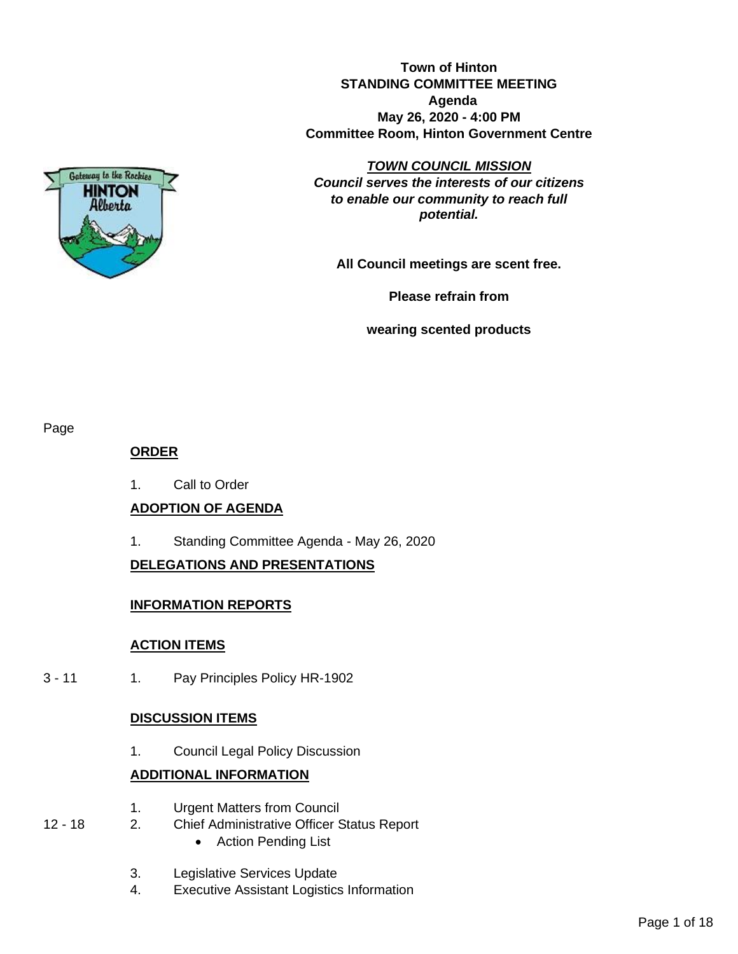#### **Town of Hinton STANDING COMMITTEE MEETING Agenda May 26, 2020 - 4:00 PM Committee Room, Hinton Government Centre**

### *TOWN COUNCIL MISSION*

*Council serves the interests of our citizens to enable our community to reach full potential.*

**All Council meetings are scent free.** 

**Please refrain from**

**wearing scented products**

#### Page

#### **ORDER**

1. Call to Order

#### **ADOPTION OF AGENDA**

1. Standing Committee Agenda - May 26, 2020

#### **DELEGATIONS AND PRESENTATIONS**

#### **INFORMATION REPORTS**

#### **ACTION ITEMS**

3 - 11 1. Pay Principles Policy HR-1902

### **DISCUSSION ITEMS**

1. Council Legal Policy Discussion

### **ADDITIONAL INFORMATION**

- 1. Urgent Matters from Council
- 12 18 2. Chief Administrative Officer Status Report
	- Action Pending List
	- 3. Legislative Services Update
	- 4. Executive Assistant Logistics Information

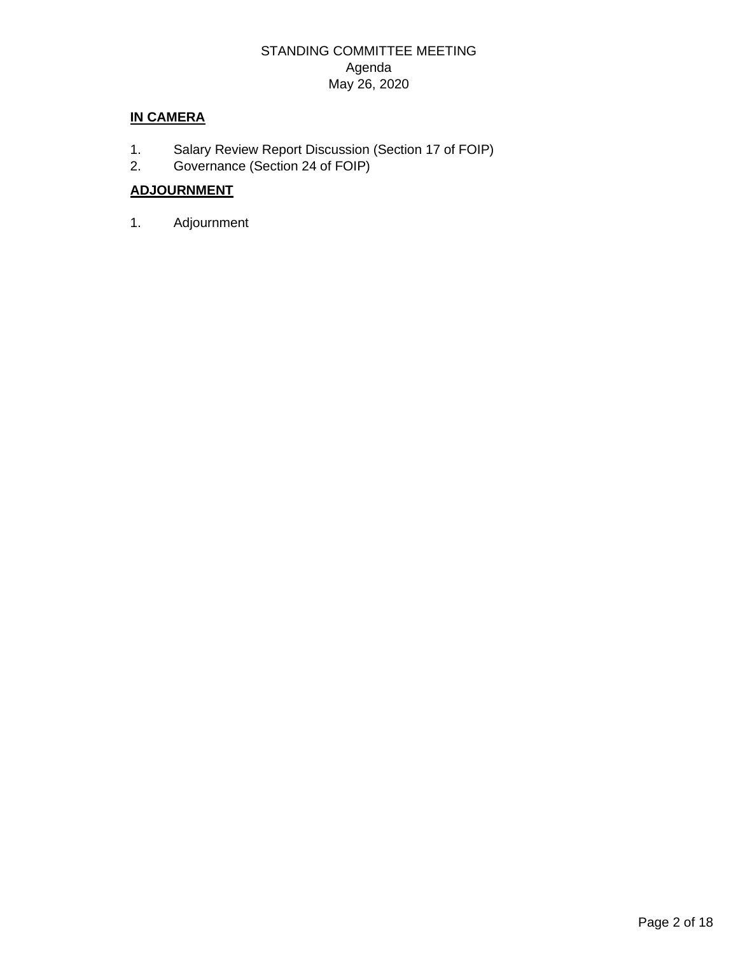#### STANDING COMMITTEE MEETING Agenda May 26, 2020

### **IN CAMERA**

- 1. Salary Review Report Discussion (Section 17 of FOIP)
- 2. Governance (Section 24 of FOIP)

### **ADJOURNMENT**

1. Adjournment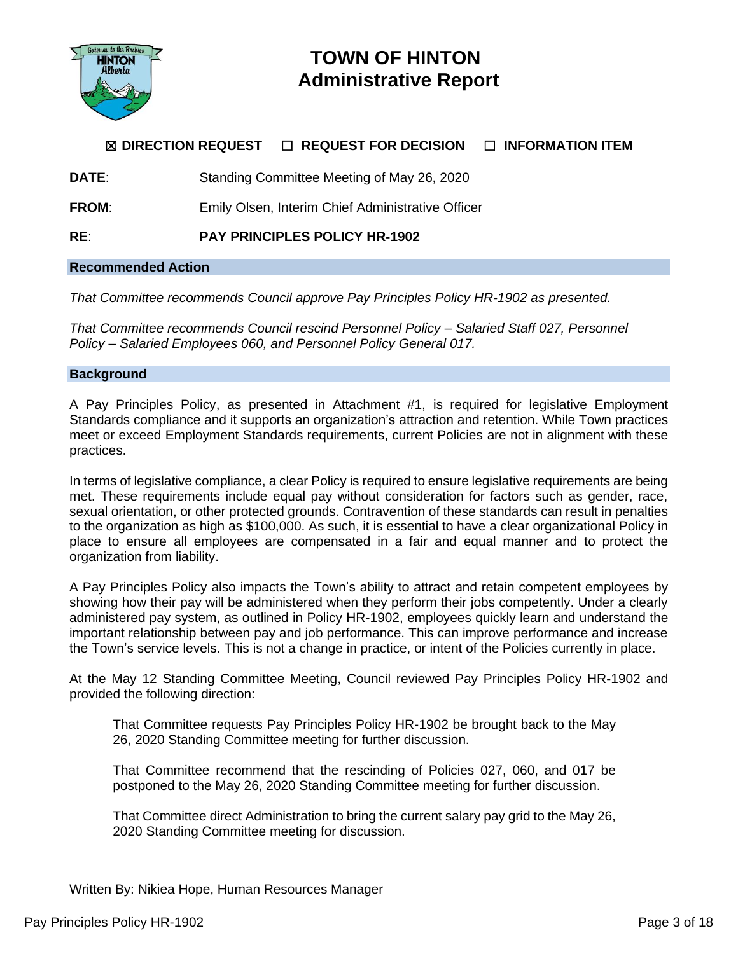

## **TOWN OF HINTON Administrative Report**

#### ☒ **DIRECTION REQUEST** ☐ **REQUEST FOR DECISION** ☐ **INFORMATION ITEM**

**DATE**: Standing Committee Meeting of May 26, 2020

**FROM**: Emily Olsen, Interim Chief Administrative Officer

**RE**: **PAY PRINCIPLES POLICY HR-1902**

#### **Recommended Action**

*That Committee recommends Council approve Pay Principles Policy HR-1902 as presented.*

*That Committee recommends Council rescind Personnel Policy – Salaried Staff 027, Personnel Policy – Salaried Employees 060, and Personnel Policy General 017.*

#### **Background**

A Pay Principles Policy, as presented in Attachment #1, is required for legislative Employment Standards compliance and it supports an organization's attraction and retention. While Town practices meet or exceed Employment Standards requirements, current Policies are not in alignment with these practices.

In terms of legislative compliance, a clear Policy is required to ensure legislative requirements are being met. These requirements include equal pay without consideration for factors such as gender, race, sexual orientation, or other protected grounds. Contravention of these standards can result in penalties to the organization as high as \$100,000. As such, it is essential to have a clear organizational Policy in place to ensure all employees are compensated in a fair and equal manner and to protect the organization from liability.

A Pay Principles Policy also impacts the Town's ability to attract and retain competent employees by showing how their pay will be administered when they perform their jobs competently. Under a clearly administered pay system, as outlined in Policy HR-1902, employees quickly learn and understand the important relationship between pay and job performance. This can improve performance and increase the Town's service levels. This is not a change in practice, or intent of the Policies currently in place.

At the May 12 Standing Committee Meeting, Council reviewed Pay Principles Policy HR-1902 and provided the following direction:

That Committee requests Pay Principles Policy HR-1902 be brought back to the May 26, 2020 Standing Committee meeting for further discussion.

That Committee recommend that the rescinding of Policies 027, 060, and 017 be postponed to the May 26, 2020 Standing Committee meeting for further discussion.

That Committee direct Administration to bring the current salary pay grid to the May 26, 2020 Standing Committee meeting for discussion.

Written By: Nikiea Hope, Human Resources Manager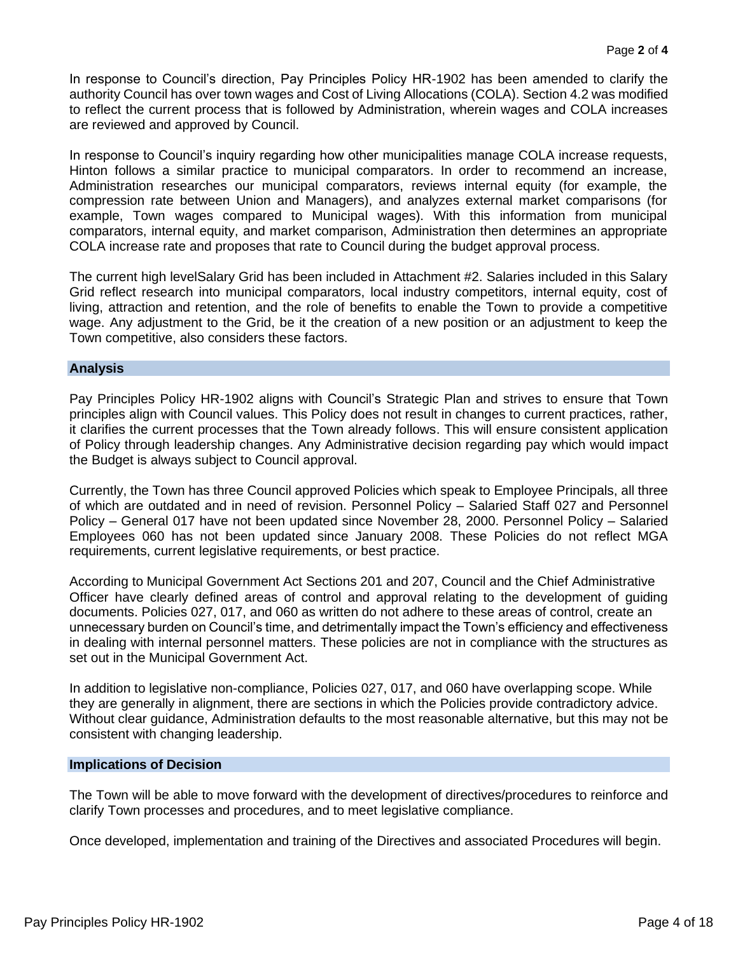In response to Council's direction, Pay Principles Policy HR-1902 has been amended to clarify the authority Council has over town wages and Cost of Living Allocations (COLA). Section 4.2 was modified to reflect the current process that is followed by Administration, wherein wages and COLA increases are reviewed and approved by Council.

In response to Council's inquiry regarding how other municipalities manage COLA increase requests, Hinton follows a similar practice to municipal comparators. In order to recommend an increase, Administration researches our municipal comparators, reviews internal equity (for example, the compression rate between Union and Managers), and analyzes external market comparisons (for example, Town wages compared to Municipal wages). With this information from municipal comparators, internal equity, and market comparison, Administration then determines an appropriate COLA increase rate and proposes that rate to Council during the budget approval process.

The current high levelSalary Grid has been included in Attachment #2. Salaries included in this Salary Grid reflect research into municipal comparators, local industry competitors, internal equity, cost of living, attraction and retention, and the role of benefits to enable the Town to provide a competitive wage. Any adjustment to the Grid, be it the creation of a new position or an adjustment to keep the Town competitive, also considers these factors.

#### **Analysis**

Pay Principles Policy HR-1902 aligns with Council's Strategic Plan and strives to ensure that Town principles align with Council values. This Policy does not result in changes to current practices, rather, it clarifies the current processes that the Town already follows. This will ensure consistent application of Policy through leadership changes. Any Administrative decision regarding pay which would impact the Budget is always subject to Council approval.

Currently, the Town has three Council approved Policies which speak to Employee Principals, all three of which are outdated and in need of revision. Personnel Policy – Salaried Staff 027 and Personnel Policy – General 017 have not been updated since November 28, 2000. Personnel Policy – Salaried Employees 060 has not been updated since January 2008. These Policies do not reflect MGA requirements, current legislative requirements, or best practice.

According to Municipal Government Act Sections 201 and 207, Council and the Chief Administrative Officer have clearly defined areas of control and approval relating to the development of guiding documents. Policies 027, 017, and 060 as written do not adhere to these areas of control, create an unnecessary burden on Council's time, and detrimentally impact the Town's efficiency and effectiveness in dealing with internal personnel matters. These policies are not in compliance with the structures as set out in the Municipal Government Act.

In addition to legislative non-compliance, Policies 027, 017, and 060 have overlapping scope. While they are generally in alignment, there are sections in which the Policies provide contradictory advice. Without clear guidance, Administration defaults to the most reasonable alternative, but this may not be consistent with changing leadership.

#### **Implications of Decision**

The Town will be able to move forward with the development of directives/procedures to reinforce and clarify Town processes and procedures, and to meet legislative compliance.

Once developed, implementation and training of the Directives and associated Procedures will begin.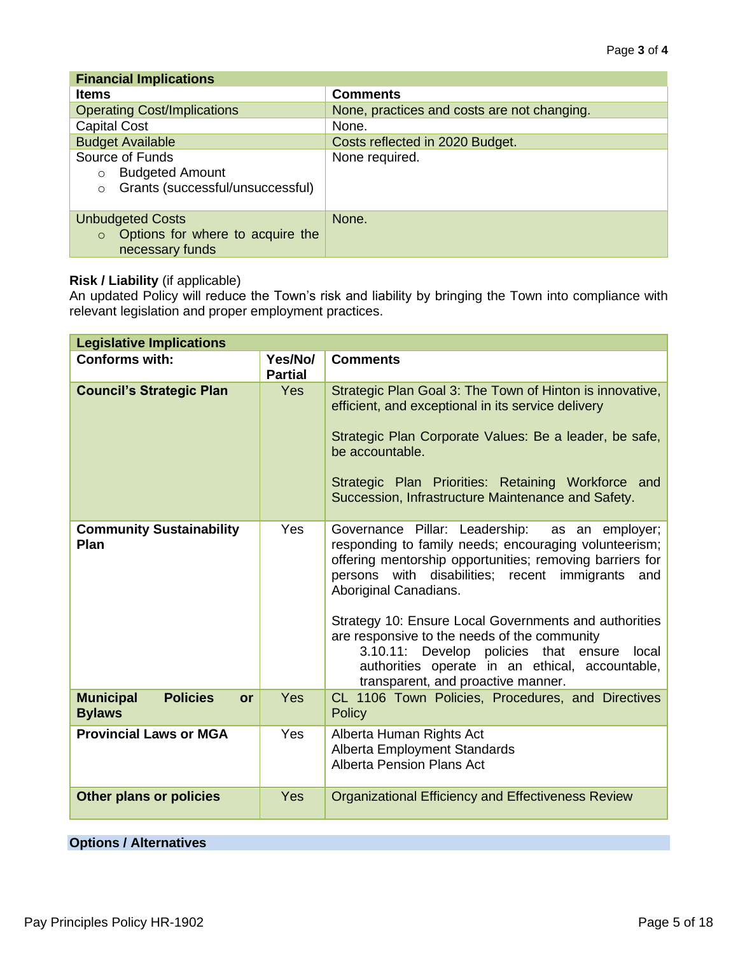| <b>Financial Implications</b>                                                                       |                                             |  |  |  |  |  |
|-----------------------------------------------------------------------------------------------------|---------------------------------------------|--|--|--|--|--|
| <b>Items</b>                                                                                        | <b>Comments</b>                             |  |  |  |  |  |
| <b>Operating Cost/Implications</b>                                                                  | None, practices and costs are not changing. |  |  |  |  |  |
| <b>Capital Cost</b>                                                                                 | None.                                       |  |  |  |  |  |
| <b>Budget Available</b>                                                                             | Costs reflected in 2020 Budget.             |  |  |  |  |  |
| Source of Funds<br><b>Budgeted Amount</b><br>$\circ$<br>Grants (successful/unsuccessful)<br>$\circ$ | None required.                              |  |  |  |  |  |
| <b>Unbudgeted Costs</b><br>Options for where to acquire the<br>$\circ$<br>necessary funds           | None.                                       |  |  |  |  |  |

#### **Risk / Liability** (if applicable)

An updated Policy will reduce the Town's risk and liability by bringing the Town into compliance with relevant legislation and proper employment practices.

| <b>Legislative Implications</b>                            |                           |                                                                                                                                                                                                                                                                                                                                                                                                                                                                                                      |  |  |  |  |  |
|------------------------------------------------------------|---------------------------|------------------------------------------------------------------------------------------------------------------------------------------------------------------------------------------------------------------------------------------------------------------------------------------------------------------------------------------------------------------------------------------------------------------------------------------------------------------------------------------------------|--|--|--|--|--|
| <b>Conforms with:</b>                                      | Yes/No/<br><b>Partial</b> | <b>Comments</b>                                                                                                                                                                                                                                                                                                                                                                                                                                                                                      |  |  |  |  |  |
| <b>Council's Strategic Plan</b>                            | <b>Yes</b>                | Strategic Plan Goal 3: The Town of Hinton is innovative,<br>efficient, and exceptional in its service delivery<br>Strategic Plan Corporate Values: Be a leader, be safe,<br>be accountable.<br>Strategic Plan Priorities: Retaining Workforce and<br>Succession, Infrastructure Maintenance and Safety.                                                                                                                                                                                              |  |  |  |  |  |
| <b>Community Sustainability</b><br>Plan                    | Yes                       | Governance Pillar: Leadership: as an employer;<br>responding to family needs; encouraging volunteerism;<br>offering mentorship opportunities; removing barriers for<br>persons with disabilities; recent immigrants and<br>Aboriginal Canadians.<br>Strategy 10: Ensure Local Governments and authorities<br>are responsive to the needs of the community<br>3.10.11: Develop policies that ensure<br>local<br>authorities operate in an ethical, accountable,<br>transparent, and proactive manner. |  |  |  |  |  |
| <b>Municipal</b><br><b>Policies</b><br>or<br><b>Bylaws</b> | Yes                       | CL 1106 Town Policies, Procedures, and Directives<br><b>Policy</b>                                                                                                                                                                                                                                                                                                                                                                                                                                   |  |  |  |  |  |
| <b>Provincial Laws or MGA</b>                              | Yes                       | Alberta Human Rights Act<br>Alberta Employment Standards<br><b>Alberta Pension Plans Act</b>                                                                                                                                                                                                                                                                                                                                                                                                         |  |  |  |  |  |
| <b>Other plans or policies</b>                             | Yes                       | <b>Organizational Efficiency and Effectiveness Review</b>                                                                                                                                                                                                                                                                                                                                                                                                                                            |  |  |  |  |  |

#### **Options / Alternatives**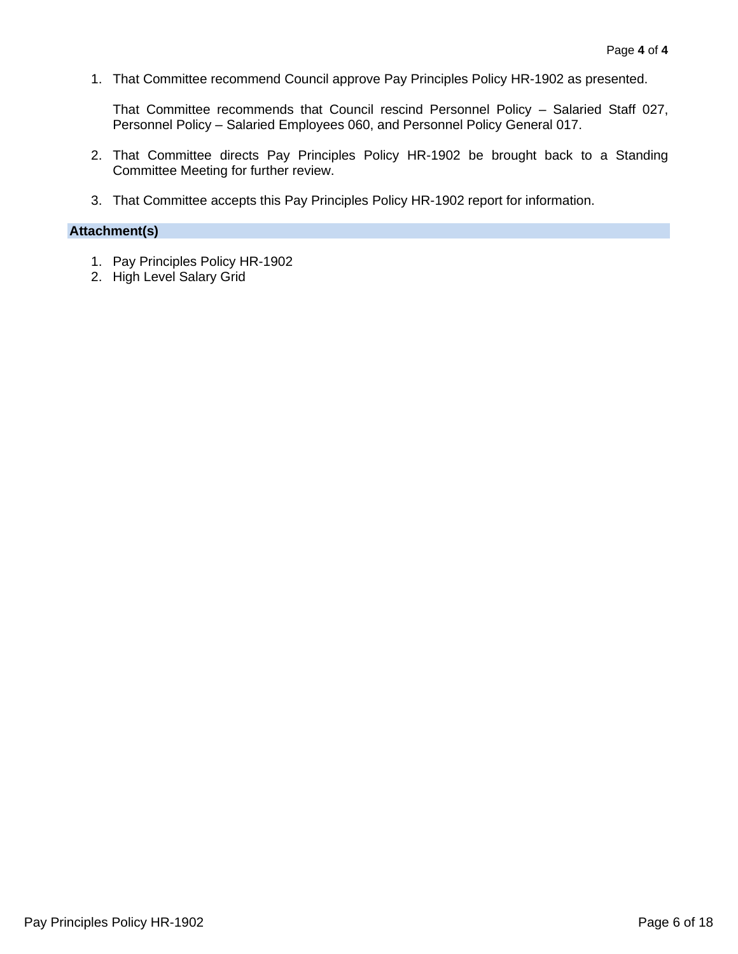1. That Committee recommend Council approve Pay Principles Policy HR-1902 as presented.

That Committee recommends that Council rescind Personnel Policy – Salaried Staff 027, Personnel Policy – Salaried Employees 060, and Personnel Policy General 017.

- 2. That Committee directs Pay Principles Policy HR-1902 be brought back to a Standing Committee Meeting for further review.
- 3. That Committee accepts this Pay Principles Policy HR-1902 report for information.

#### **Attachment(s)**

- 1. Pay Principles Policy HR-1902
- 2. High Level Salary Grid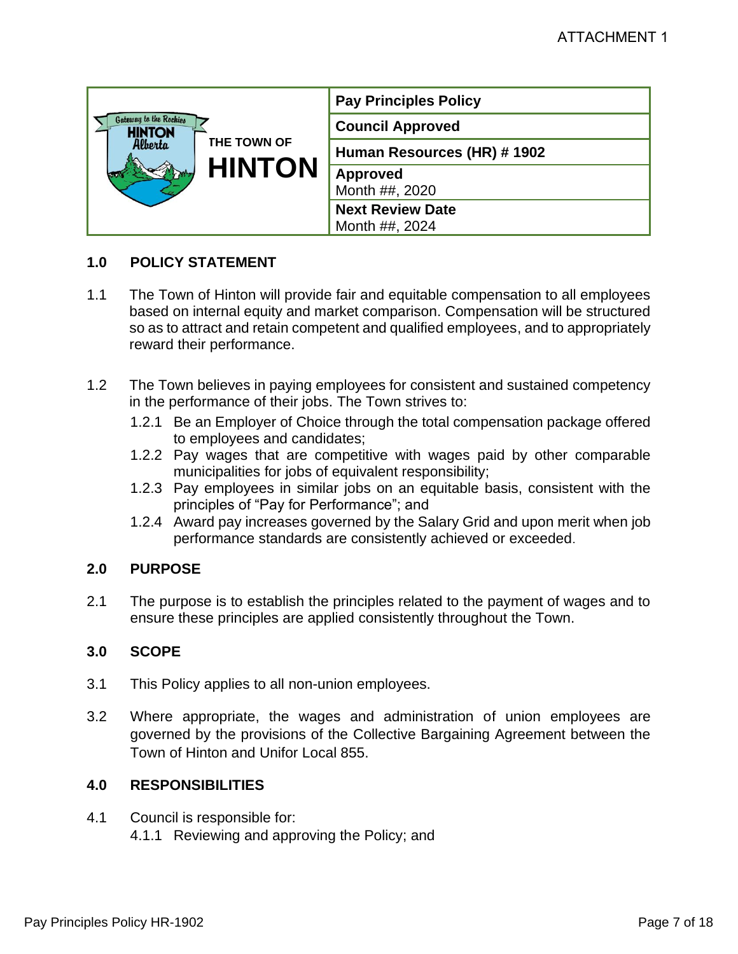|                                                | <b>Pay Principles Policy</b> |  |  |  |  |  |
|------------------------------------------------|------------------------------|--|--|--|--|--|
| <b>Gateway to the Rockies</b><br><b>HINTON</b> | <b>Council Approved</b>      |  |  |  |  |  |
| THE TOWN OF<br>Alberta                         | Human Resources (HR) #1902   |  |  |  |  |  |
| <b>HINTON</b>                                  | <b>Approved</b>              |  |  |  |  |  |
|                                                | Month ##, 2020               |  |  |  |  |  |
|                                                | <b>Next Review Date</b>      |  |  |  |  |  |
|                                                | Month ##, 2024               |  |  |  |  |  |

#### **1.0 POLICY STATEMENT**

- 1.1 The Town of Hinton will provide fair and equitable compensation to all employees based on internal equity and market comparison. Compensation will be structured so as to attract and retain competent and qualified employees, and to appropriately reward their performance.
- 1.2 The Town believes in paying employees for consistent and sustained competency in the performance of their jobs. The Town strives to:
	- 1.2.1 Be an Employer of Choice through the total compensation package offered to employees and candidates;
	- 1.2.2 Pay wages that are competitive with wages paid by other comparable municipalities for jobs of equivalent responsibility;
	- 1.2.3 Pay employees in similar jobs on an equitable basis, consistent with the principles of "Pay for Performance"; and
	- 1.2.4 Award pay increases governed by the Salary Grid and upon merit when job performance standards are consistently achieved or exceeded.

#### **2.0 PURPOSE**

2.1 The purpose is to establish the principles related to the payment of wages and to ensure these principles are applied consistently throughout the Town.

#### **3.0 SCOPE**

- 3.1 This Policy applies to all non-union employees.
- 3.2 Where appropriate, the wages and administration of union employees are governed by the provisions of the Collective Bargaining Agreement between the Town of Hinton and Unifor Local 855.

#### **4.0 RESPONSIBILITIES**

4.1 Council is responsible for: 4.1.1 Reviewing and approving the Policy; and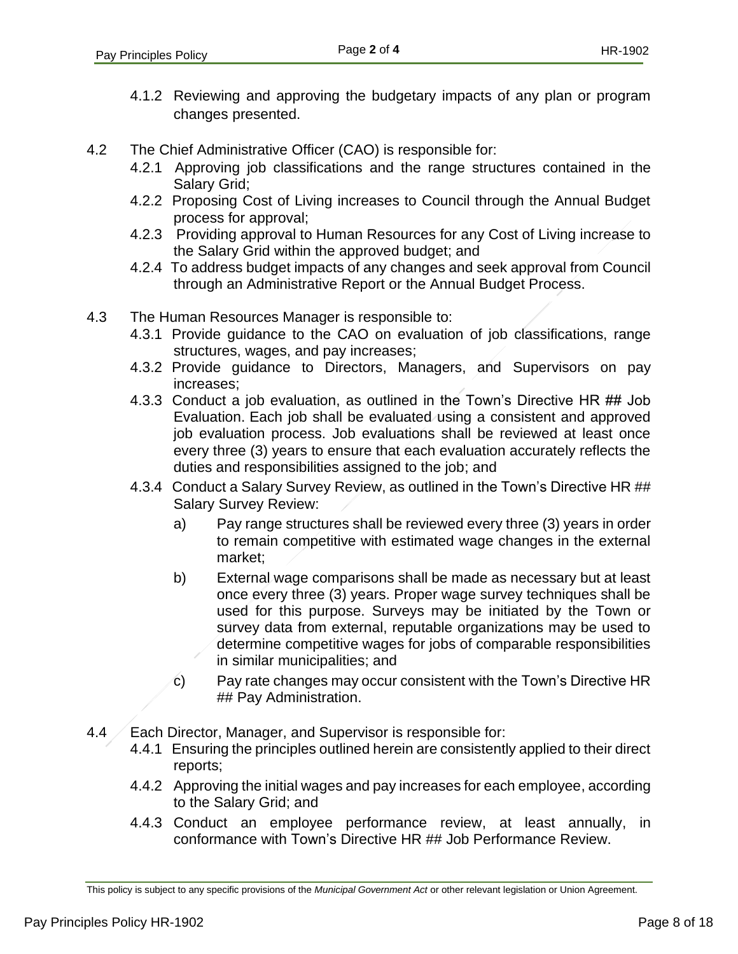- 4.1.2 Reviewing and approving the budgetary impacts of any plan or program changes presented.
- 4.2 The Chief Administrative Officer (CAO) is responsible for:
	- 4.2.1 Approving job classifications and the range structures contained in the Salary Grid;
	- 4.2.2 Proposing Cost of Living increases to Council through the Annual Budget process for approval;
	- 4.2.3 Providing approval to Human Resources for any Cost of Living increase to the Salary Grid within the approved budget; and
	- 4.2.4 To address budget impacts of any changes and seek approval from Council through an Administrative Report or the Annual Budget Process.
- 4.3 The Human Resources Manager is responsible to:
	- 4.3.1 Provide guidance to the CAO on evaluation of job classifications, range structures, wages, and pay increases;
	- 4.3.2 Provide guidance to Directors, Managers, and Supervisors on pay increases;
	- 4.3.3 Conduct a job evaluation, as outlined in the Town's Directive HR ## Job Evaluation. Each job shall be evaluated using a consistent and approved job evaluation process. Job evaluations shall be reviewed at least once every three (3) years to ensure that each evaluation accurately reflects the duties and responsibilities assigned to the job; and
	- 4.3.4 Conduct a Salary Survey Review, as outlined in the Town's Directive HR ## Salary Survey Review:
		- a) Pay range structures shall be reviewed every three (3) years in order to remain competitive with estimated wage changes in the external market;
		- b) External wage comparisons shall be made as necessary but at least once every three (3) years. Proper wage survey techniques shall be used for this purpose. Surveys may be initiated by the Town or survey data from external, reputable organizations may be used to determine competitive wages for jobs of comparable responsibilities in similar municipalities; and
		- c) Pay rate changes may occur consistent with the Town's Directive HR ## Pay Administration.
- 4.4 Each Director, Manager, and Supervisor is responsible for:
	- 4.4.1 Ensuring the principles outlined herein are consistently applied to their direct reports;
	- 4.4.2 Approving the initial wages and pay increases for each employee, according to the Salary Grid; and
	- 4.4.3 Conduct an employee performance review, at least annually, in conformance with Town's Directive HR ## Job Performance Review.

This policy is subject to any specific provisions of the *Municipal Government Act* or other relevant legislation or Union Agreement.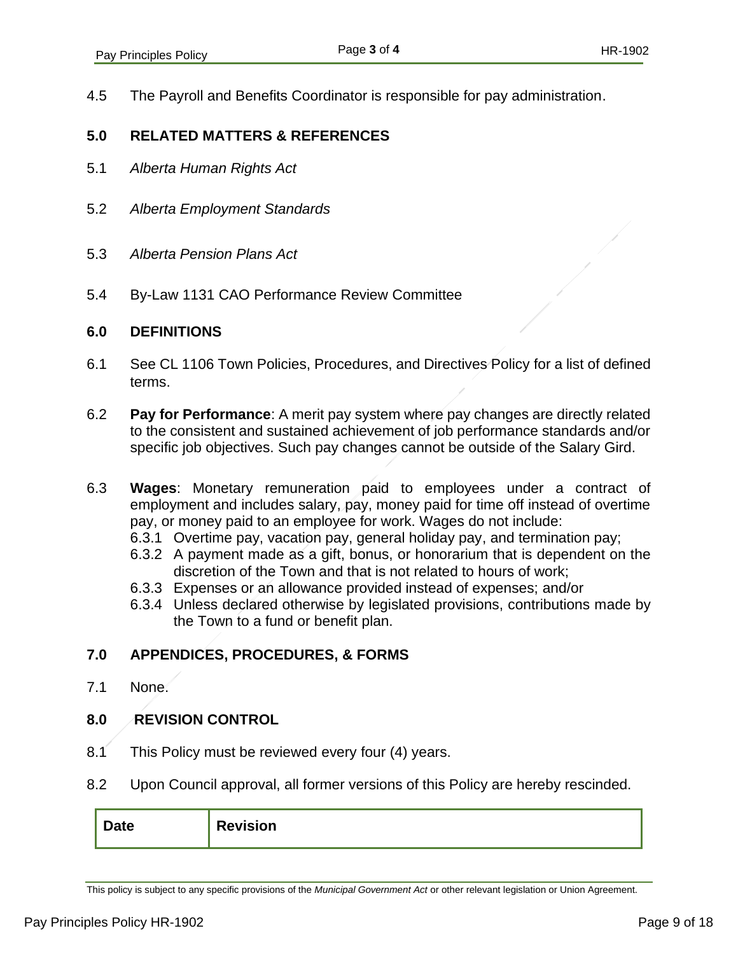4.5 The Payroll and Benefits Coordinator is responsible for pay administration.

#### **5.0 RELATED MATTERS & REFERENCES**

- 5.1 *Alberta Human Rights Act*
- 5.2 *Alberta Employment Standards*
- 5.3 *Alberta Pension Plans Act*
- 5.4 By-Law 1131 CAO Performance Review Committee

#### **6.0 DEFINITIONS**

- 6.1 See CL 1106 Town Policies, Procedures, and Directives Policy for a list of defined terms.
- 6.2 **Pay for Performance**: A merit pay system where pay changes are directly related to the consistent and sustained achievement of job performance standards and/or specific job objectives. Such pay changes cannot be outside of the Salary Gird.
- 6.3 **Wages**: Monetary remuneration paid to employees under a contract of employment and includes salary, pay, money paid for time off instead of overtime pay, or money paid to an employee for work. Wages do not include:
	- 6.3.1 Overtime pay, vacation pay, general holiday pay, and termination pay;
	- 6.3.2 A payment made as a gift, bonus, or honorarium that is dependent on the discretion of the Town and that is not related to hours of work;
	- 6.3.3 Expenses or an allowance provided instead of expenses; and/or
	- 6.3.4 Unless declared otherwise by legislated provisions, contributions made by the Town to a fund or benefit plan.

### **7.0 APPENDICES, PROCEDURES, & FORMS**

7.1 None.

### **8.0 REVISION CONTROL**

- 8.1 This Policy must be reviewed every four (4) years.
- 8.2 Upon Council approval, all former versions of this Policy are hereby rescinded.

| <b>Date</b> | <b>Revision</b> |
|-------------|-----------------|
|-------------|-----------------|

This policy is subject to any specific provisions of the *Municipal Government Act* or other relevant legislation or Union Agreement.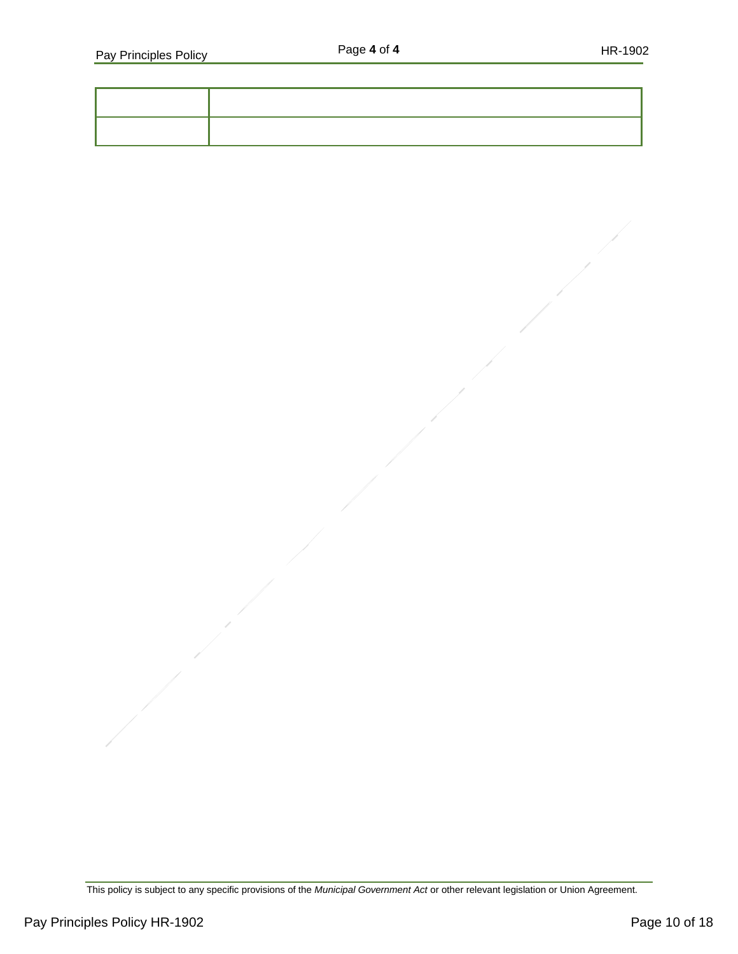This policy is subject to any specific provisions of the *Municipal Government Act* or other relevant legislation or Union Agreement.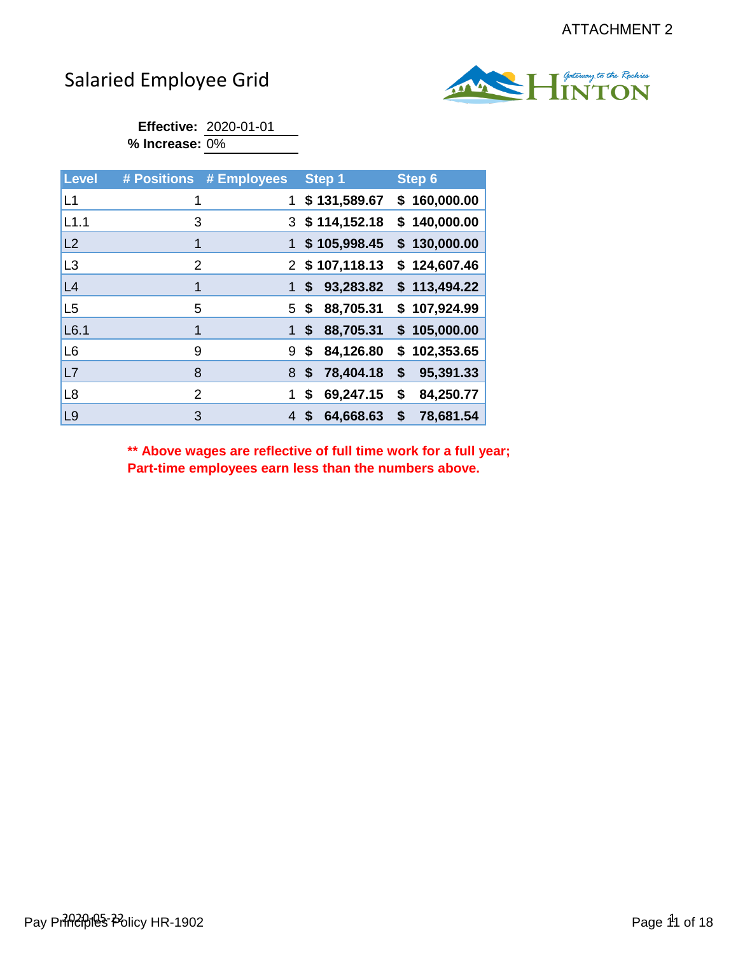## Salaried Employee Grid



**Effective:** 2020-01-01 **% Increase:** 0%

| <b>Level</b>   | # Employees<br># Positions |                                | Step 1           | <b>Step 6</b>    |
|----------------|----------------------------|--------------------------------|------------------|------------------|
| L1             | 1                          |                                | \$131,589.67     | \$160,000.00     |
| L1.1           | 3                          |                                | $3$ \$114,152.18 | \$140,000.00     |
| L2             | 1                          |                                | \$105,998.45     | \$130,000.00     |
| L <sub>3</sub> | 2                          | 2                              | \$107,118.13     | \$124,607.46     |
| L4             | 1                          | \$                             | 93,283.82        | \$113,494.22     |
| L <sub>5</sub> | 5                          | \$<br>5                        | 88,705.31        | \$107,924.99     |
| L6.1           | 1                          | \$<br>1                        | 88,705.31        | 105,000.00<br>\$ |
| L <sub>6</sub> | 9                          | \$<br>9                        | 84,126.80        | \$102,353.65     |
| L7             | 8                          | $\boldsymbol{\mathsf{s}}$<br>8 | 78,404.18        | \$<br>95,391.33  |
| L <sub>8</sub> | $\overline{2}$             | \$<br>1.                       | 69,247.15        | \$<br>84,250.77  |
| L <sub>9</sub> | 3                          | \$<br>4                        | 64,668.63        | \$<br>78,681.54  |

**\*\* Above wages are reflective of full time work for a full year; Part-time employees earn less than the numbers above.**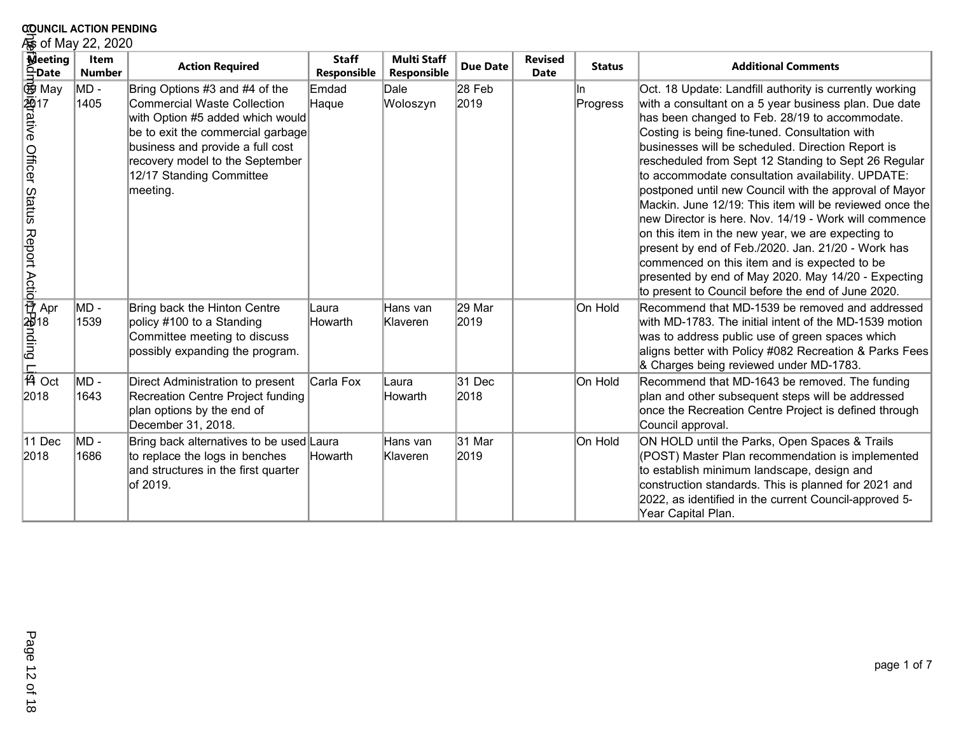# **COUNCIL ACTION PENDING**<br>優 of May 22, 2020

|                                                | <b>COUNCIL ACTION PENDING</b><br><i>i</i> s of May 22, 2020 |                                                                                                                                                                                                                                                       |                                    |                                   |                 |                               |                 |                                                                                                                                                                                                                                                                                                                                                                                                                                                                                                                                                                                                                                                                                                                                                                                                                                              |  |
|------------------------------------------------|-------------------------------------------------------------|-------------------------------------------------------------------------------------------------------------------------------------------------------------------------------------------------------------------------------------------------------|------------------------------------|-----------------------------------|-----------------|-------------------------------|-----------------|----------------------------------------------------------------------------------------------------------------------------------------------------------------------------------------------------------------------------------------------------------------------------------------------------------------------------------------------------------------------------------------------------------------------------------------------------------------------------------------------------------------------------------------------------------------------------------------------------------------------------------------------------------------------------------------------------------------------------------------------------------------------------------------------------------------------------------------------|--|
| <b>Meeting</b><br>$\frac{6}{5}$ Date           | <b>Item</b><br><b>Number</b>                                | <b>Action Required</b>                                                                                                                                                                                                                                | <b>Staff</b><br><b>Responsible</b> | <b>Multi Staff</b><br>Responsible | <b>Due Date</b> | <b>Revised</b><br><b>Date</b> | <b>Status</b>   | <b>Additional Comments</b>                                                                                                                                                                                                                                                                                                                                                                                                                                                                                                                                                                                                                                                                                                                                                                                                                   |  |
| 優!<br>May<br>May Maritive Officer Status       | $MD -$<br>1405                                              | Bring Options #3 and #4 of the<br>Commercial Waste Collection<br>with Option #5 added which would<br>be to exit the commercial garbage<br>business and provide a full cost<br>recovery model to the September<br>12/17 Standing Committee<br>meeting. | Emdad<br>Haque                     | Dale<br>Woloszyn                  | 28 Feb<br>2019  |                               | ın.<br>Progress | Oct. 18 Update: Landfill authority is currently working<br>with a consultant on a 5 year business plan. Due date<br>has been changed to Feb. 28/19 to accommodate.<br>Costing is being fine-tuned. Consultation with<br>businesses will be scheduled. Direction Report is<br>rescheduled from Sept 12 Standing to Sept 26 Regular<br>to accommodate consultation availability. UPDATE:<br>postponed until new Council with the approval of Mayor<br>Mackin. June 12/19: This item will be reviewed once the<br>new Director is here. Nov. 14/19 - Work will commence<br>on this item in the new year, we are expecting to<br>present by end of Feb./2020. Jan. 21/20 - Work has<br>commenced on this item and is expected to be<br>presented by end of May 2020. May 14/20 - Expecting<br>to present to Council before the end of June 2020. |  |
| Bandio한명nding L<br>요용<br>Report Actio한명nding L | MD-<br>1539                                                 | Bring back the Hinton Centre<br>policy #100 to a Standing<br>Committee meeting to discuss<br>possibly expanding the program.                                                                                                                          | Laura<br>Howarth                   | Hans van<br>Klaveren              | 29 Mar<br>2019  |                               | On Hold         | Recommend that MD-1539 be removed and addressed<br>with MD-1783. The initial intent of the MD-1539 motion<br>was to address public use of green spaces which<br>aligns better with Policy #082 Recreation & Parks Fees<br>& Charges being reviewed under MD-1783.                                                                                                                                                                                                                                                                                                                                                                                                                                                                                                                                                                            |  |
| 将 Oct<br>2018                                  | MD -<br>1643                                                | Direct Administration to present<br>Recreation Centre Project funding<br>plan options by the end of<br>December 31, 2018.                                                                                                                             | Carla Fox                          | Laura<br>Howarth                  | 31 Dec<br>2018  |                               | On Hold         | Recommend that MD-1643 be removed. The funding<br>plan and other subsequent steps will be addressed<br>once the Recreation Centre Project is defined through<br>Council approval.                                                                                                                                                                                                                                                                                                                                                                                                                                                                                                                                                                                                                                                            |  |
| 11 Dec<br>2018                                 | MD -<br>1686                                                | Bring back alternatives to be used Laura<br>to replace the logs in benches<br>and structures in the first quarter<br>of 2019.                                                                                                                         | <b>Howarth</b>                     | Hans van<br>Klaveren              | 31 Mar<br>2019  |                               | On Hold         | ON HOLD until the Parks, Open Spaces & Trails<br>(POST) Master Plan recommendation is implemented<br>to establish minimum landscape, design and<br>construction standards. This is planned for 2021 and<br>2022, as identified in the current Council-approved 5-<br>Year Capital Plan.                                                                                                                                                                                                                                                                                                                                                                                                                                                                                                                                                      |  |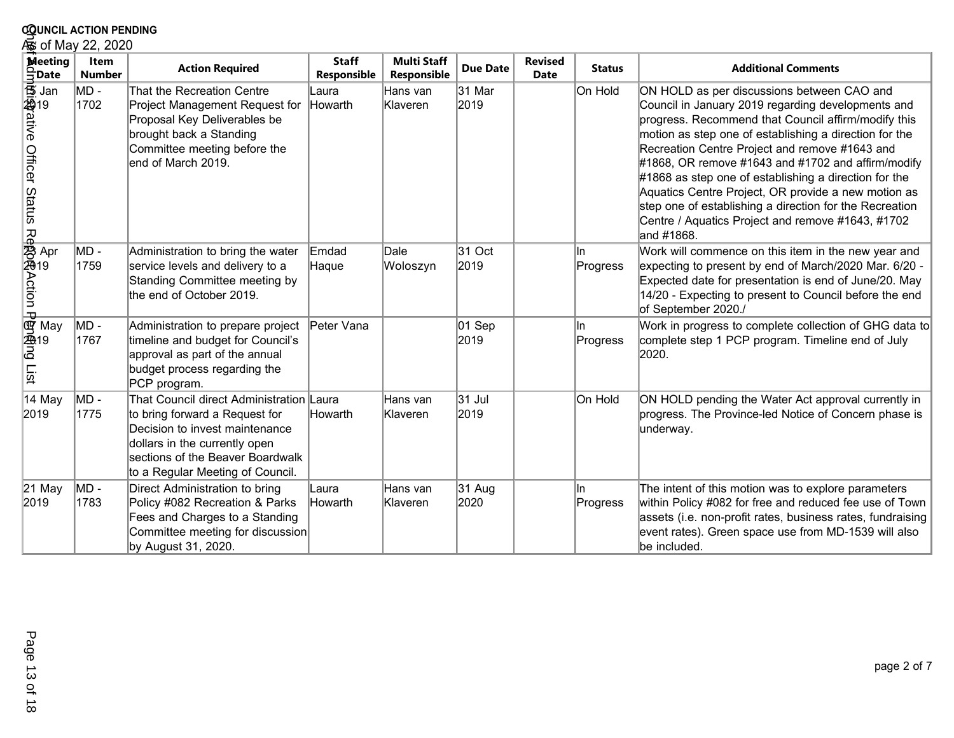|                                                                                  | <b>COUNCIL ACTION PENDING</b><br>⁄അs of May 22, 2020 |                                                                                                                                                                                                                       |                             |                                   |                   |                               |                 |                                                                                                                                                                                                                                                                                                                                                                                                                                                                                                                                                                         |  |  |
|----------------------------------------------------------------------------------|------------------------------------------------------|-----------------------------------------------------------------------------------------------------------------------------------------------------------------------------------------------------------------------|-----------------------------|-----------------------------------|-------------------|-------------------------------|-----------------|-------------------------------------------------------------------------------------------------------------------------------------------------------------------------------------------------------------------------------------------------------------------------------------------------------------------------------------------------------------------------------------------------------------------------------------------------------------------------------------------------------------------------------------------------------------------------|--|--|
| Meeting<br>$\frac{6}{3}$ Date                                                    | Item<br><b>Number</b>                                | <b>Action Required</b>                                                                                                                                                                                                | <b>Staff</b><br>Responsible | <b>Multi Staff</b><br>Responsible | <b>Due Date</b>   | <b>Revised</b><br><b>Date</b> | <b>Status</b>   | <b>Additional Comments</b>                                                                                                                                                                                                                                                                                                                                                                                                                                                                                                                                              |  |  |
| le<br>Pion<br>値(\$pative Officer Status                                          | $MD -$<br>1702                                       | That the Recreation Centre<br>Project Management Request for<br>Proposal Key Deliverables be<br>brought back a Standing<br>Committee meeting before the<br>end of March 2019.                                         | Laura<br>Howarth            | Hans van<br>Klaveren              | 31 Mar<br>2019    |                               | On Hold         | ON HOLD as per discussions between CAO and<br>Council in January 2019 regarding developments and<br>progress. Recommend that Council affirm/modify this<br>motion as step one of establishing a direction for the<br>Recreation Centre Project and remove #1643 and<br>#1868, OR remove #1643 and #1702 and affirm/modify<br>#1868 as step one of establishing a direction for the<br>Aquatics Centre Project, OR provide a new motion as<br>step one of establishing a direction for the Recreation<br>Centre / Aquatics Project and remove #1643, #1702<br>and #1868. |  |  |
| Rea<br>MAPAPTO: App<br>Map<br>Mapapto: Mapapto: 25<br>Mapapto: 25<br>Mapapto: 25 | MD-<br>1759                                          | Administration to bring the water<br>service levels and delivery to a<br>Standing Committee meeting by<br>the end of October 2019.                                                                                    | Emdad<br>Haque              | Dale<br>Woloszyn                  | 31 Oct<br>2019    |                               | In<br>Progress  | Work will commence on this item in the new year and<br>expecting to present by end of March/2020 Mar. 6/20 -<br>Expected date for presentation is end of June/20. May<br>14/20 - Expecting to present to Council before the end<br>of September 2020./                                                                                                                                                                                                                                                                                                                  |  |  |
| $\overline{\phantom{0}}$                                                         | MD -<br>1767                                         | Administration to prepare project<br>timeline and budget for Council's<br>approval as part of the annual<br>budget process regarding the<br>PCP program.                                                              | Peter Vana                  |                                   | $ 01S$ ep<br>2019 |                               | In.<br>Progress | Work in progress to complete collection of GHG data to<br>complete step 1 PCP program. Timeline end of July<br>2020.                                                                                                                                                                                                                                                                                                                                                                                                                                                    |  |  |
| 14 May<br>2019                                                                   | MD-<br>1775                                          | That Council direct Administration Laura<br>to bring forward a Request for<br>Decision to invest maintenance<br>dollars in the currently open<br>sections of the Beaver Boardwalk<br>to a Regular Meeting of Council. | <b>Howarth</b>              | Hans van<br>Klaveren              | 31 Jul<br>2019    |                               | On Hold         | ON HOLD pending the Water Act approval currently in<br>progress. The Province-led Notice of Concern phase is<br>underway.                                                                                                                                                                                                                                                                                                                                                                                                                                               |  |  |
| 21 May<br>2019                                                                   | MD -<br>1783                                         | Direct Administration to bring<br>Policy #082 Recreation & Parks<br>Fees and Charges to a Standing<br>Committee meeting for discussion<br>by August 31, 2020.                                                         | Laura<br>Howarth            | Hans van<br>Klaveren              | 31 Aug<br>2020    |                               | In.<br>Progress | The intent of this motion was to explore parameters<br>within Policy #082 for free and reduced fee use of Town<br>assets (i.e. non-profit rates, business rates, fundraising<br>event rates). Green space use from MD-1539 will also<br>be included.                                                                                                                                                                                                                                                                                                                    |  |  |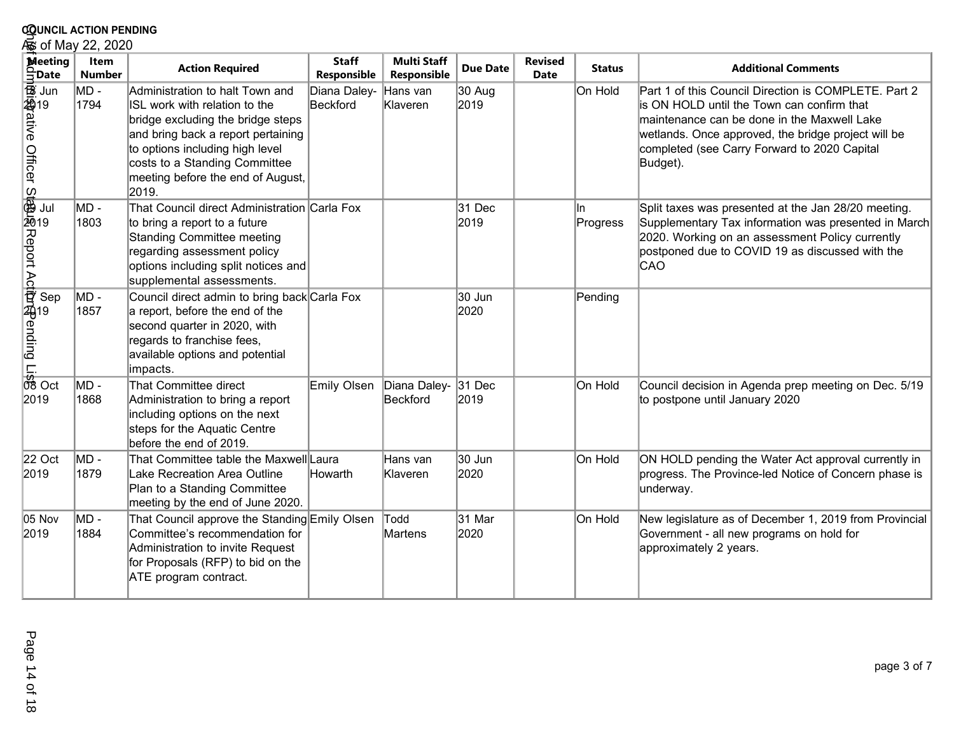| <b>COUNCIL ACTION PENDING</b><br>⁄ఉ్sof May 22, 2020                                              |                              |                                                                                                                                                                                                                                                               |                             |                                   |                   |                               |                 |                                                                                                                                                                                                                                                                      |  |
|---------------------------------------------------------------------------------------------------|------------------------------|---------------------------------------------------------------------------------------------------------------------------------------------------------------------------------------------------------------------------------------------------------------|-----------------------------|-----------------------------------|-------------------|-------------------------------|-----------------|----------------------------------------------------------------------------------------------------------------------------------------------------------------------------------------------------------------------------------------------------------------------|--|
| Meeting                                                                                           | <b>Item</b><br><b>Number</b> | <b>Action Required</b>                                                                                                                                                                                                                                        | <b>Staff</b><br>Responsible | <b>Multi Staff</b><br>Responsible | <b>Due Date</b>   | <b>Revised</b><br><b>Date</b> | <b>Status</b>   | <b>Additional Comments</b>                                                                                                                                                                                                                                           |  |
| Date<br>Sating Support Actions (金融) 」<br>Of Support Actions Action (15)<br>Of Support Actions (3) | MD -<br>1794                 | Administration to halt Town and<br>ISL work with relation to the<br>bridge excluding the bridge steps<br>and bring back a report pertaining<br>to options including high level<br>costs to a Standing Committee<br>meeting before the end of August,<br>2019. | Diana Daley-<br>Beckford    | Hans van<br>Klaveren              | 30 Aug<br>2019    |                               | On Hold         | Part 1 of this Council Direction is COMPLETE. Part 2<br>is ON HOLD until the Town can confirm that<br>maintenance can be done in the Maxwell Lake<br>wetlands. Once approved, the bridge project will be<br>completed (see Carry Forward to 2020 Capital<br>Budget). |  |
|                                                                                                   | MD -<br>1803                 | That Council direct Administration Carla Fox<br>to bring a report to a future<br><b>Standing Committee meeting</b><br>regarding assessment policy<br>options including split notices and<br>supplemental assessments.                                         |                             |                                   | 31 Dec<br>2019    |                               | ln.<br>Progress | Split taxes was presented at the Jan 28/20 meeting.<br>Supplementary Tax information was presented in March<br>2020. Working on an assessment Policy currently<br>postponed due to COVID 19 as discussed with the<br>CAO                                             |  |
|                                                                                                   | MD -<br>1857                 | Council direct admin to bring back Carla Fox<br>a report, before the end of the<br>second quarter in 2020, with<br>regards to franchise fees,<br>available options and potential<br>impacts.                                                                  |                             |                                   | 30 Jun<br>2020    |                               | Pending         |                                                                                                                                                                                                                                                                      |  |
| 2019                                                                                              | MD -<br>1868                 | That Committee direct<br>Administration to bring a report<br>including options on the next<br>steps for the Aquatic Centre<br>before the end of 2019.                                                                                                         | Emily Olsen                 | Diana Daley-<br>Beckford          | $ 31$ Dec<br>2019 |                               | On Hold         | Council decision in Agenda prep meeting on Dec. 5/19<br>to postpone until January 2020                                                                                                                                                                               |  |
| 22 Oct<br>2019                                                                                    | MD -<br>1879                 | That Committee table the Maxwell Laura<br>Lake Recreation Area Outline<br>Plan to a Standing Committee<br>meeting by the end of June 2020.                                                                                                                    | Howarth                     | Hans van<br>Klaveren              | 30 Jun<br>2020    |                               | On Hold         | ON HOLD pending the Water Act approval currently in<br>progress. The Province-led Notice of Concern phase is<br>underway.                                                                                                                                            |  |
| 05 Nov<br>2019                                                                                    | MD -<br>1884                 | That Council approve the Standing Emily Olsen<br>Committee's recommendation for<br>Administration to invite Request<br>for Proposals (RFP) to bid on the<br>ATE program contract.                                                                             |                             | Todd<br>Martens                   | 31 Mar<br>2020    |                               | On Hold         | New legislature as of December 1, 2019 from Provincial<br>Government - all new programs on hold for<br>approximately 2 years.                                                                                                                                        |  |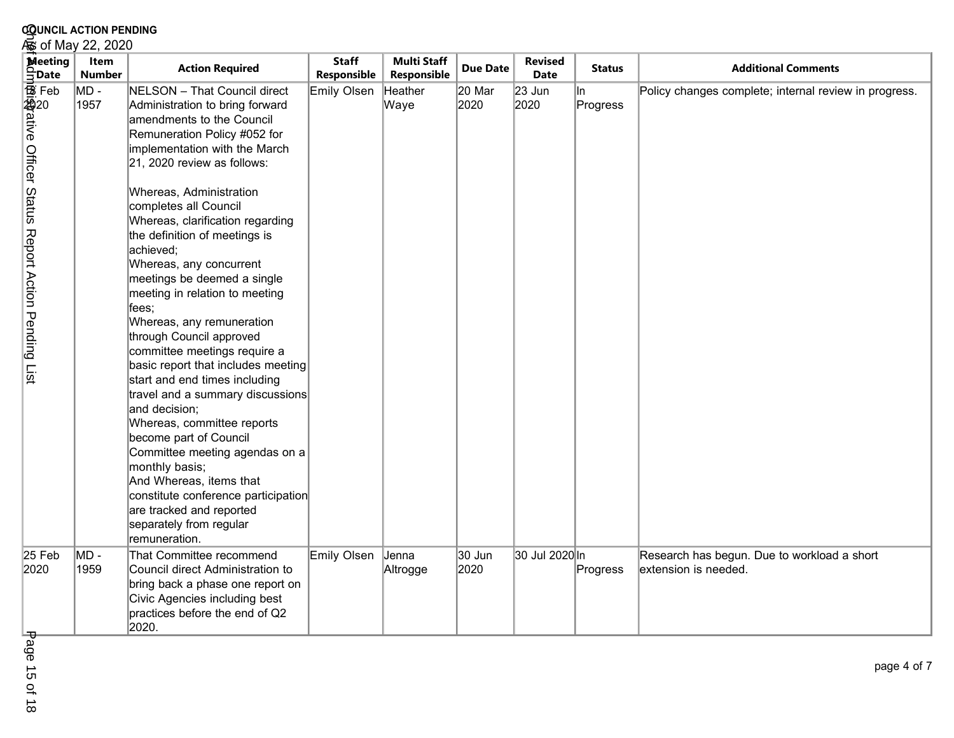|                                                                     | <b>COUNCIL ACTION PENDING</b> |                                                                                                                                                                                                                                                                                                                                                                                                                                                                                                                                                                                                                                                                                                                                                                                                                                                                                                                    |                             |                                   |                            |                               |                |                                                                      |
|---------------------------------------------------------------------|-------------------------------|--------------------------------------------------------------------------------------------------------------------------------------------------------------------------------------------------------------------------------------------------------------------------------------------------------------------------------------------------------------------------------------------------------------------------------------------------------------------------------------------------------------------------------------------------------------------------------------------------------------------------------------------------------------------------------------------------------------------------------------------------------------------------------------------------------------------------------------------------------------------------------------------------------------------|-----------------------------|-----------------------------------|----------------------------|-------------------------------|----------------|----------------------------------------------------------------------|
|                                                                     | ∕ික of May 22, 2020           |                                                                                                                                                                                                                                                                                                                                                                                                                                                                                                                                                                                                                                                                                                                                                                                                                                                                                                                    |                             |                                   |                            |                               |                |                                                                      |
| Meeting<br>$\frac{c}{2}$ Date                                       | Item<br><b>Number</b>         | <b>Action Required</b>                                                                                                                                                                                                                                                                                                                                                                                                                                                                                                                                                                                                                                                                                                                                                                                                                                                                                             | <b>Staff</b><br>Responsible | <b>Multi Staff</b><br>Responsible | <b>Due Date</b>            | <b>Revised</b><br><b>Date</b> | <b>Status</b>  | <b>Additional Comments</b>                                           |
| <b>B</b> Feb<br>独rative Officer Status Report Action Pending List20 | MD -<br>1957                  | NELSON - That Council direct<br>Administration to bring forward<br>amendments to the Council<br>Remuneration Policy #052 for<br>implementation with the March<br>21, 2020 review as follows:<br>Whereas, Administration<br>completes all Council<br>Whereas, clarification regarding<br>the definition of meetings is<br>achieved;<br>Whereas, any concurrent<br>meetings be deemed a single<br>meeting in relation to meeting<br>fees;<br>Whereas, any remuneration<br>through Council approved<br>committee meetings require a<br>basic report that includes meeting<br>start and end times including<br>travel and a summary discussions<br>and decision;<br>Whereas, committee reports<br>become part of Council<br>Committee meeting agendas on a<br>monthly basis;<br>And Whereas, items that<br>constitute conference participation<br>are tracked and reported<br>separately from regular<br>remuneration. | Emily Olsen                 | Heather<br>Waye                   | $ 20 \text{ Mar} $<br>2020 | 23 Jun<br>2020                | ln<br>Progress | Policy changes complete; internal review in progress.                |
| 25 Feb<br>2020                                                      | MD -<br>1959                  | That Committee recommend<br>Council direct Administration to<br>bring back a phase one report on<br>Civic Agencies including best<br>practices before the end of Q2<br>2020.                                                                                                                                                                                                                                                                                                                                                                                                                                                                                                                                                                                                                                                                                                                                       | Emily Olsen                 | Jenna<br>Altrogge                 | 30 Jun<br>2020             | 30 Jul 2020 In                | Progress       | Research has begun. Due to workload a short<br>lextension is needed. |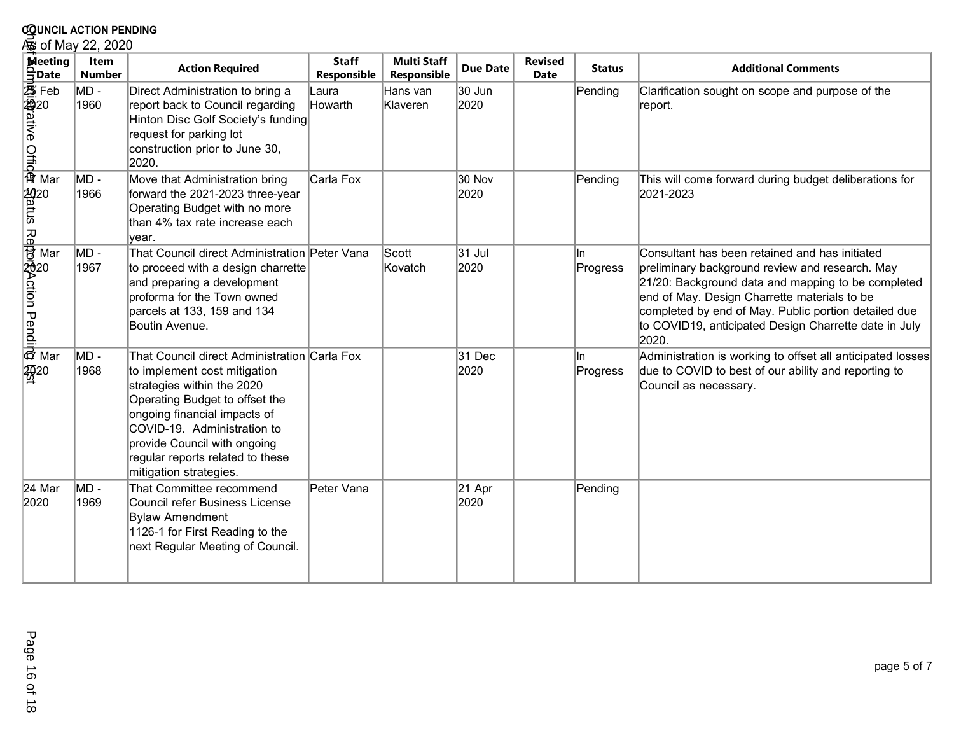| <b>COUNCIL ACTION PENDING</b><br>⁄ఉం of May 22, 2020                                                                                                                                                                                                                              |                       |                                                                                                                                                                                                                                                                                                           |                             |                                   |                   |                               |                 |                                                                                                                                                                                                                                                                                                                                   |  |
|-----------------------------------------------------------------------------------------------------------------------------------------------------------------------------------------------------------------------------------------------------------------------------------|-----------------------|-----------------------------------------------------------------------------------------------------------------------------------------------------------------------------------------------------------------------------------------------------------------------------------------------------------|-----------------------------|-----------------------------------|-------------------|-------------------------------|-----------------|-----------------------------------------------------------------------------------------------------------------------------------------------------------------------------------------------------------------------------------------------------------------------------------------------------------------------------------|--|
| <b>Meeting</b>                                                                                                                                                                                                                                                                    | Item<br><b>Number</b> | <b>Action Required</b>                                                                                                                                                                                                                                                                                    | <b>Staff</b><br>Responsible | <b>Multi Staff</b><br>Responsible | <b>Due Date</b>   | <b>Revised</b><br><b>Date</b> | <b>Status</b>   | <b>Additional Comments</b>                                                                                                                                                                                                                                                                                                        |  |
| Machine<br>Shippate<br>Shippath<br>Mar<br>Machine<br>Machine<br>Machine<br>Machine<br>Machine<br>Machine<br>Machine<br>Machine<br>Machine<br>Machine<br>Machine<br>Machine<br>Machine<br>Machine<br>Machine<br>Machine<br>Machine<br>Machine<br>Machine<br>Machine<br>Machine<br> | MD -<br>1960          | Direct Administration to bring a<br>report back to Council regarding<br>Hinton Disc Golf Society's funding<br>request for parking lot<br>construction prior to June 30,<br>2020.                                                                                                                          | Laura<br>Howarth            | Hans van<br>Klaveren              | 30 Jun<br>2020    |                               | Pending         | Clarification sought on scope and purpose of the<br>report.                                                                                                                                                                                                                                                                       |  |
|                                                                                                                                                                                                                                                                                   | MD -<br>1966          | Move that Administration bring<br>forward the 2021-2023 three-year<br>Operating Budget with no more<br>than 4% tax rate increase each<br>vear.                                                                                                                                                            | Carla Fox                   |                                   | 30 Nov<br>2020    |                               | Pending         | This will come forward during budget deliberations for<br>2021-2023                                                                                                                                                                                                                                                               |  |
| <b>ਬ੍ਰਿ</b> 20<br>Maters Rediction<br><i>ਚ</i><br>ਕਿ Mar                                                                                                                                                                                                                          | MD -<br>1967          | That Council direct Administration Peter Vana<br>to proceed with a design charrette<br>and preparing a development<br>proforma for the Town owned<br>parcels at 133, 159 and 134<br>Boutin Avenue.                                                                                                        |                             | Scott<br>Kovatch                  | 31 Jul<br>2020    |                               | ln.<br>Progress | Consultant has been retained and has initiated<br>preliminary background review and research. May<br>21/20: Background data and mapping to be completed<br>end of May. Design Charrette materials to be<br>completed by end of May. Public portion detailed due<br>to COVID19, anticipated Design Charrette date in July<br>2020. |  |
| $\frac{1}{2}$ 20                                                                                                                                                                                                                                                                  | MD -<br>1968          | That Council direct Administration Carla Fox<br>to implement cost mitigation<br>strategies within the 2020<br>Operating Budget to offset the<br>ongoing financial impacts of<br>COVID-19. Administration to<br>provide Council with ongoing<br>regular reports related to these<br>mitigation strategies. |                             |                                   | 31 Dec<br>2020    |                               | ln.<br>Progress | Administration is working to offset all anticipated losses<br>due to COVID to best of our ability and reporting to<br>Council as necessary.                                                                                                                                                                                       |  |
| 24 Mar<br>2020                                                                                                                                                                                                                                                                    | MD -<br>1969          | That Committee recommend<br>Council refer Business License<br><b>Bylaw Amendment</b><br>1126-1 for First Reading to the<br>next Regular Meeting of Council.                                                                                                                                               | Peter Vana                  |                                   | $ 21$ Apr<br>2020 |                               | Pending         |                                                                                                                                                                                                                                                                                                                                   |  |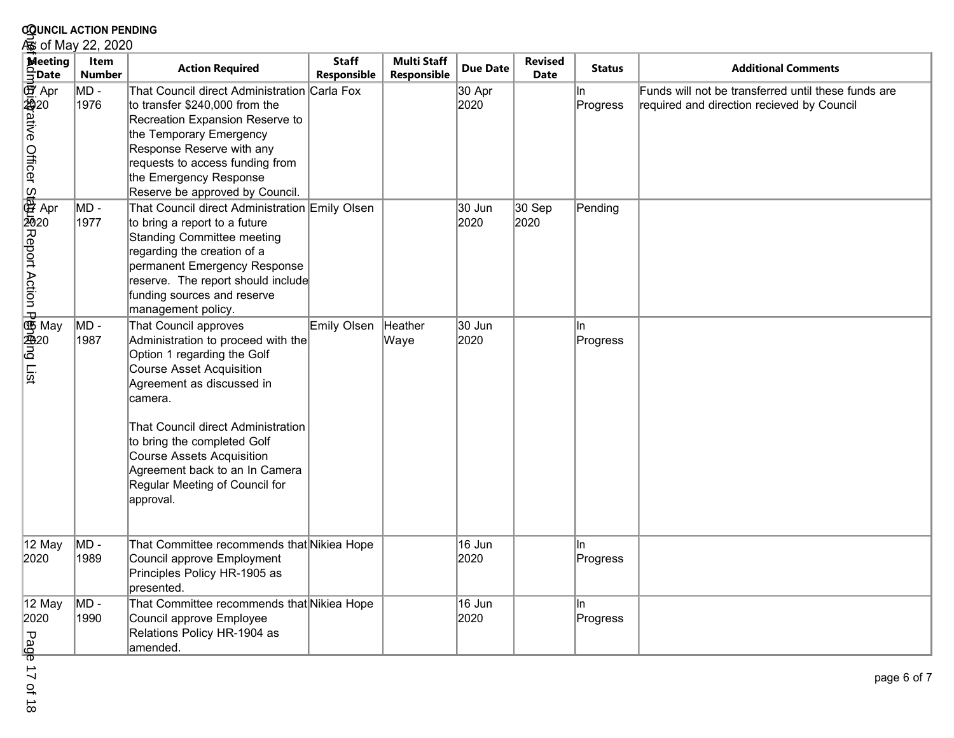|                                                                        | <b>COUNCIL ACTION PENDING</b><br>⁄ఉ్s of May 22, 2020 |                                                                                                                                                                                                                                                                           |                             |                                   |                 |                               |                 |                                                                                                   |  |
|------------------------------------------------------------------------|-------------------------------------------------------|---------------------------------------------------------------------------------------------------------------------------------------------------------------------------------------------------------------------------------------------------------------------------|-----------------------------|-----------------------------------|-----------------|-------------------------------|-----------------|---------------------------------------------------------------------------------------------------|--|
| Meeting                                                                | Item<br><b>Number</b>                                 | <b>Action Required</b>                                                                                                                                                                                                                                                    | <b>Staff</b><br>Responsible | <b>Multi Staff</b><br>Responsible | <b>Due Date</b> | <b>Revised</b><br><b>Date</b> | <b>Status</b>   | <b>Additional Comments</b>                                                                        |  |
| · Myring Chicer StageReport Action<br>Stage Officer StageReport Action | MD -<br>1976                                          | That Council direct Administration Carla Fox<br>to transfer \$240,000 from the<br>Recreation Expansion Reserve to<br>the Temporary Emergency<br>Response Reserve with any<br>requests to access funding from<br>the Emergency Response<br>Reserve be approved by Council. |                             |                                   | 30 Apr<br>2020  |                               | ın<br>Progress  | Funds will not be transferred until these funds are<br>required and direction recieved by Council |  |
|                                                                        | MD -<br>1977                                          | That Council direct Administration Emily Olsen<br>to bring a report to a future<br>Standing Committee meeting<br>regarding the creation of a<br>permanent Emergency Response<br>reserve. The report should include<br>funding sources and reserve<br>management policy.   |                             |                                   | 30 Jun<br>2020  | 30 Sep<br>2020                | Pending         |                                                                                                   |  |
|                                                                        | MD -<br>1987                                          | That Council approves<br>Administration to proceed with the<br>Option 1 regarding the Golf<br><b>Course Asset Acquisition</b><br>Agreement as discussed in<br>camera.                                                                                                     | Emily Olsen                 | Heather<br>Waye                   | 30 Jun<br>2020  |                               | In.<br>Progress |                                                                                                   |  |
|                                                                        |                                                       | That Council direct Administration<br>to bring the completed Golf<br><b>Course Assets Acquisition</b><br>Agreement back to an In Camera<br>Regular Meeting of Council for<br>approval.                                                                                    |                             |                                   |                 |                               |                 |                                                                                                   |  |
| 12 May<br>2020                                                         | MD -<br>1989                                          | That Committee recommends that Nikiea Hope<br>Council approve Employment<br>Principles Policy HR-1905 as<br>presented.                                                                                                                                                    |                             |                                   | 16 Jun<br>2020  |                               | ın<br>Progress  |                                                                                                   |  |
| 12 May<br>2020<br>Pag                                                  | MD -<br>1990                                          | That Committee recommends that Nikiea Hope<br>Council approve Employee<br>Relations Policy HR-1904 as<br>amended.                                                                                                                                                         |                             |                                   | 16 Jun<br>2020  |                               | In<br>Progress  |                                                                                                   |  |

Page 17 of 18e 17 of 18